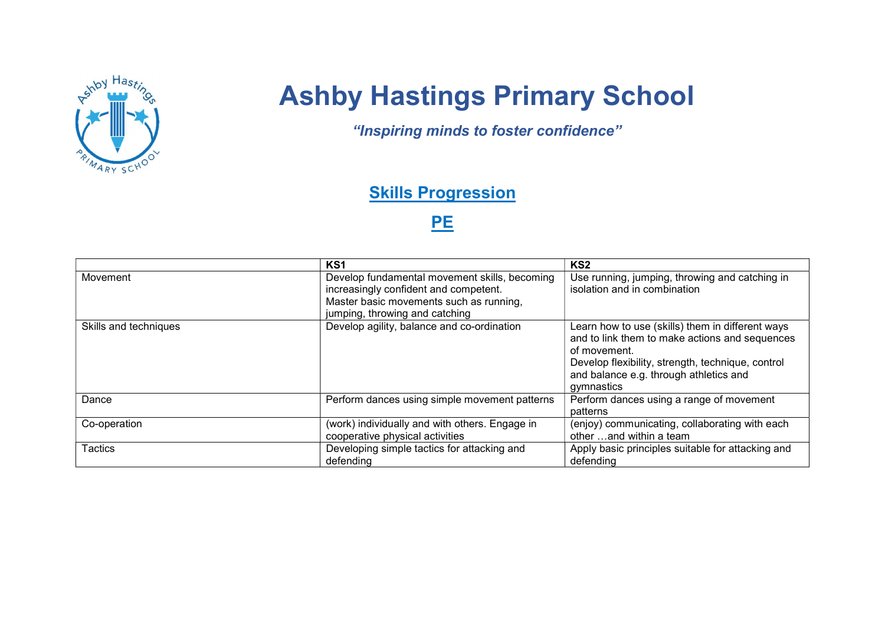

# Ashby Hastings Primary School

"Inspiring minds to foster confidence"

## **Skills Progression**

### PE

|                       | KS1                                                                                                                                                                 | KS <sub>2</sub>                                                                                                                                                                                                                 |
|-----------------------|---------------------------------------------------------------------------------------------------------------------------------------------------------------------|---------------------------------------------------------------------------------------------------------------------------------------------------------------------------------------------------------------------------------|
| Movement              | Develop fundamental movement skills, becoming<br>increasingly confident and competent.<br>Master basic movements such as running,<br>jumping, throwing and catching | Use running, jumping, throwing and catching in<br>isolation and in combination                                                                                                                                                  |
| Skills and techniques | Develop agility, balance and co-ordination                                                                                                                          | Learn how to use (skills) them in different ways<br>and to link them to make actions and sequences<br>of movement.<br>Develop flexibility, strength, technique, control<br>and balance e.g. through athletics and<br>gymnastics |
| Dance                 | Perform dances using simple movement patterns                                                                                                                       | Perform dances using a range of movement<br>patterns                                                                                                                                                                            |
| Co-operation          | (work) individually and with others. Engage in<br>cooperative physical activities                                                                                   | (enjoy) communicating, collaborating with each<br>other and within a team                                                                                                                                                       |
| Tactics               | Developing simple tactics for attacking and<br>defending                                                                                                            | Apply basic principles suitable for attacking and<br>defending                                                                                                                                                                  |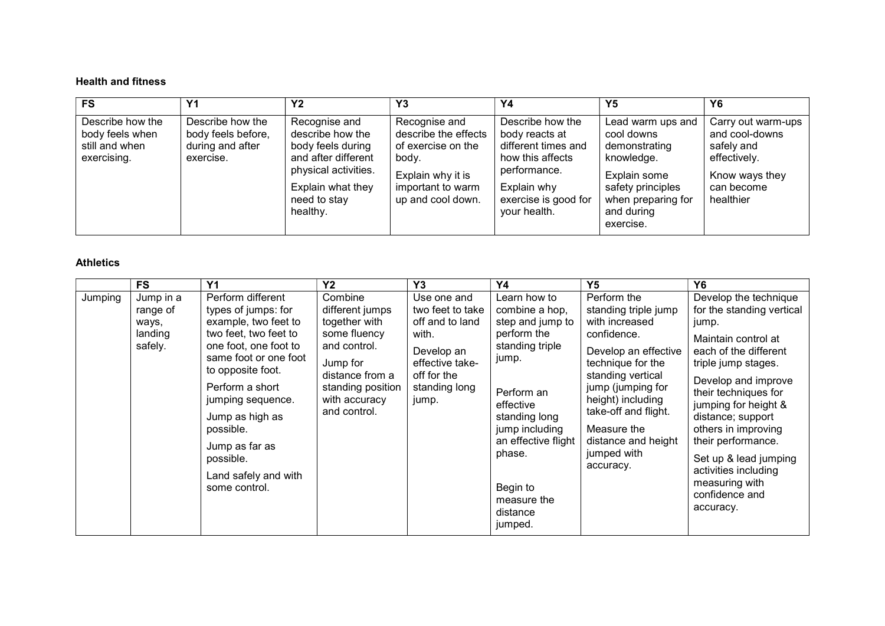#### Health and fitness

| <b>FS</b>                                                            | Υ1                                                                      | <b>Y2</b>                                                                                                                                              | Y3                                                                                                                                  | Υ4                                                                                                                                                   | Y5                                                                                                                                                   | Y <sub>6</sub>                                                                                                  |
|----------------------------------------------------------------------|-------------------------------------------------------------------------|--------------------------------------------------------------------------------------------------------------------------------------------------------|-------------------------------------------------------------------------------------------------------------------------------------|------------------------------------------------------------------------------------------------------------------------------------------------------|------------------------------------------------------------------------------------------------------------------------------------------------------|-----------------------------------------------------------------------------------------------------------------|
| Describe how the<br>body feels when<br>still and when<br>exercising. | Describe how the<br>body feels before,<br>during and after<br>exercise. | Recognise and<br>describe how the<br>body feels during<br>and after different<br>physical activities.<br>Explain what they<br>need to stay<br>healthy. | Recognise and<br>describe the effects<br>of exercise on the<br>body.<br>Explain why it is<br>important to warm<br>up and cool down. | Describe how the<br>body reacts at<br>different times and<br>how this affects<br>performance.<br>Explain why<br>exercise is good for<br>your health. | Lead warm ups and<br>cool downs<br>demonstrating<br>knowledge.<br>Explain some<br>safety principles<br>when preparing for<br>and during<br>exercise. | Carry out warm-ups<br>and cool-downs<br>safely and<br>effectively.<br>Know ways they<br>can become<br>healthier |

#### Athletics

|         | <b>FS</b>                                            | Y <sub>1</sub>                                                                                                                                                                                                                                                                                                   | Y <sub>2</sub>                                                                                                                                                   | Y3                                                                                                                                    | Y4                                                                                                                                                                                                                                             | <b>Y5</b>                                                                                                                                                                                                                                                                  | <b>Y6</b>                                                                                                                                                                                                                                                                                                                                                                     |
|---------|------------------------------------------------------|------------------------------------------------------------------------------------------------------------------------------------------------------------------------------------------------------------------------------------------------------------------------------------------------------------------|------------------------------------------------------------------------------------------------------------------------------------------------------------------|---------------------------------------------------------------------------------------------------------------------------------------|------------------------------------------------------------------------------------------------------------------------------------------------------------------------------------------------------------------------------------------------|----------------------------------------------------------------------------------------------------------------------------------------------------------------------------------------------------------------------------------------------------------------------------|-------------------------------------------------------------------------------------------------------------------------------------------------------------------------------------------------------------------------------------------------------------------------------------------------------------------------------------------------------------------------------|
| Jumping | Jump in a<br>range of<br>ways,<br>landing<br>safely. | Perform different<br>types of jumps: for<br>example, two feet to<br>two feet, two feet to<br>one foot, one foot to<br>same foot or one foot<br>to opposite foot.<br>Perform a short<br>jumping sequence.<br>Jump as high as<br>possible.<br>Jump as far as<br>possible.<br>Land safely and with<br>some control. | Combine<br>different jumps<br>together with<br>some fluency<br>and control.<br>Jump for<br>distance from a<br>standing position<br>with accuracy<br>and control. | Use one and<br>two feet to take<br>off and to land<br>with.<br>Develop an<br>effective take-<br>off for the<br>standing long<br>jump. | Learn how to<br>combine a hop,<br>step and jump to<br>perform the<br>standing triple<br>jump.<br>Perform an<br>effective<br>standing long<br>jump including<br>an effective flight<br>phase.<br>Begin to<br>measure the<br>distance<br>jumped. | Perform the<br>standing triple jump<br>with increased<br>confidence.<br>Develop an effective<br>technique for the<br>standing vertical<br>jump (jumping for<br>height) including<br>take-off and flight.<br>Measure the<br>distance and height<br>jumped with<br>accuracy. | Develop the technique<br>for the standing vertical<br>jump.<br>Maintain control at<br>each of the different<br>triple jump stages.<br>Develop and improve<br>their techniques for<br>jumping for height &<br>distance; support<br>others in improving<br>their performance.<br>Set up & lead jumping<br>activities including<br>measuring with<br>confidence and<br>accuracy. |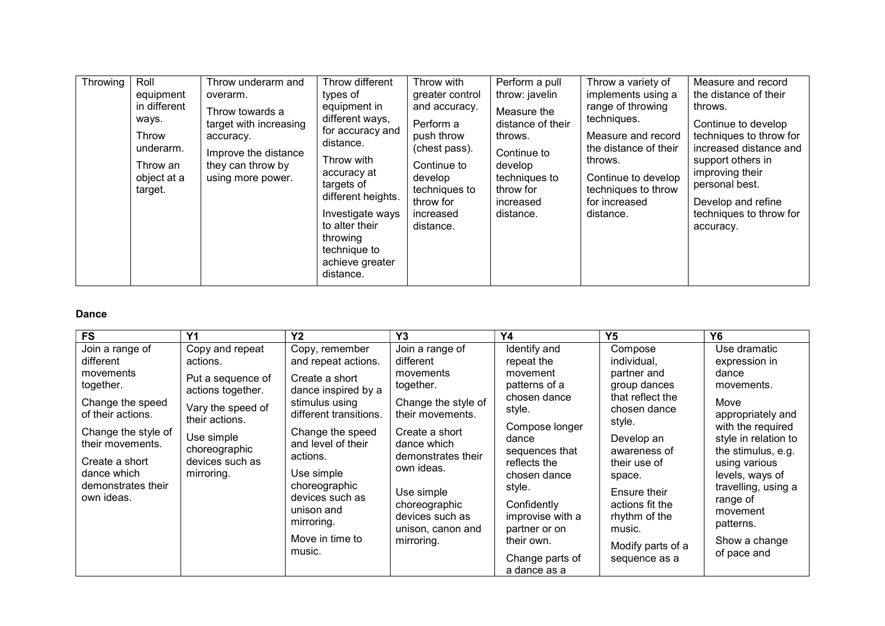| Throwing | Roll<br>equipment<br>in different<br>ways.<br>Throw<br>underarm.<br>Throw an<br>object at a<br>target. | Throw underarm and<br>overarm.<br>Throw towards a<br>target with increasing<br>accuracy.<br>Improve the distance<br>they can throw by<br>using more power. | Throw different<br>types of<br>equipment in<br>different ways,<br>for accuracy and<br>distance.<br>Throw with<br>accuracy at<br>targets of<br>different heights.<br>Investigate ways<br>to alter their<br>throwing<br>technique to<br>achieve greater<br>distance. | Throw with<br>greater control<br>and accuracy.<br>Perform a<br>push throw<br>(chest pass).<br>Continue to<br>develop<br>techniques to<br>throw for<br>increased<br>distance. | Perform a pull<br>throw: javelin<br>Measure the<br>distance of their<br>throws.<br>Continue to<br>develop<br>techniques to<br>throw for<br>increased<br>distance. | Throw a variety of<br>implements using a<br>range of throwing<br>techniques.<br>Measure and record<br>the distance of their<br>throws.<br>Continue to develop<br>techniques to throw<br>for increased<br>distance. | Measure and record<br>the distance of their<br>throws.<br>Continue to develop<br>techniques to throw for<br>increased distance and<br>support others in<br>improving their<br>personal best.<br>Develop and refine<br>techniques to throw for<br>accuracy. |
|----------|--------------------------------------------------------------------------------------------------------|------------------------------------------------------------------------------------------------------------------------------------------------------------|--------------------------------------------------------------------------------------------------------------------------------------------------------------------------------------------------------------------------------------------------------------------|------------------------------------------------------------------------------------------------------------------------------------------------------------------------------|-------------------------------------------------------------------------------------------------------------------------------------------------------------------|--------------------------------------------------------------------------------------------------------------------------------------------------------------------------------------------------------------------|------------------------------------------------------------------------------------------------------------------------------------------------------------------------------------------------------------------------------------------------------------|
|----------|--------------------------------------------------------------------------------------------------------|------------------------------------------------------------------------------------------------------------------------------------------------------------|--------------------------------------------------------------------------------------------------------------------------------------------------------------------------------------------------------------------------------------------------------------------|------------------------------------------------------------------------------------------------------------------------------------------------------------------------------|-------------------------------------------------------------------------------------------------------------------------------------------------------------------|--------------------------------------------------------------------------------------------------------------------------------------------------------------------------------------------------------------------|------------------------------------------------------------------------------------------------------------------------------------------------------------------------------------------------------------------------------------------------------------|

#### Dance

| <b>FS</b>                                                 | Y <sub>1</sub>                                 | <b>Y2</b>                                          | Y <sub>3</sub>                                        | Y4                                                        | Υ5                                         | Y6                                                                               |
|-----------------------------------------------------------|------------------------------------------------|----------------------------------------------------|-------------------------------------------------------|-----------------------------------------------------------|--------------------------------------------|----------------------------------------------------------------------------------|
| Join a range of<br>different                              | Copy and repeat<br>actions.                    | Copy, remember<br>and repeat actions.              | Join a range of<br>different                          | Identify and<br>repeat the                                | Compose<br>individual.                     | Use dramatic<br>expression in                                                    |
| movements<br>together.                                    | Put a sequence of<br>actions together.         | Create a short<br>dance inspired by a              | movements<br>together.                                | movement<br>patterns of a                                 | partner and<br>group dances                | dance<br>movements.                                                              |
| Change the speed<br>of their actions.                     | Vary the speed of<br>their actions.            | stimulus using<br>different transitions.           | Change the style of<br>their movements.               | chosen dance<br>style.                                    | that reflect the<br>chosen dance<br>style. | Move<br>appropriately and                                                        |
| Change the style of<br>their movements.<br>Create a short | Use simple<br>choreographic<br>devices such as | Change the speed<br>and level of their<br>actions. | Create a short<br>dance which<br>demonstrates their   | Compose longer<br>dance<br>sequences that<br>reflects the | Develop an<br>awareness of<br>their use of | with the required<br>style in relation to<br>the stimulus, e.g.<br>using various |
| dance which<br>demonstrates their                         | mirroring.                                     | Use simple<br>choreographic                        | own ideas.<br>Use simple                              | chosen dance<br>style.                                    | space.<br>Ensure their                     | levels, ways of<br>travelling, using a                                           |
| own ideas.                                                |                                                | devices such as<br>unison and<br>mirroring.        | choreographic<br>devices such as<br>unison, canon and | Confidently<br>improvise with a<br>partner or on          | actions fit the<br>rhythm of the<br>music. | range of<br>movement<br>patterns.                                                |
|                                                           |                                                | Move in time to<br>music.                          | mirroring.                                            | their own.<br>Change parts of<br>a dance as a             | Modify parts of a<br>sequence as a         | Show a change<br>of pace and                                                     |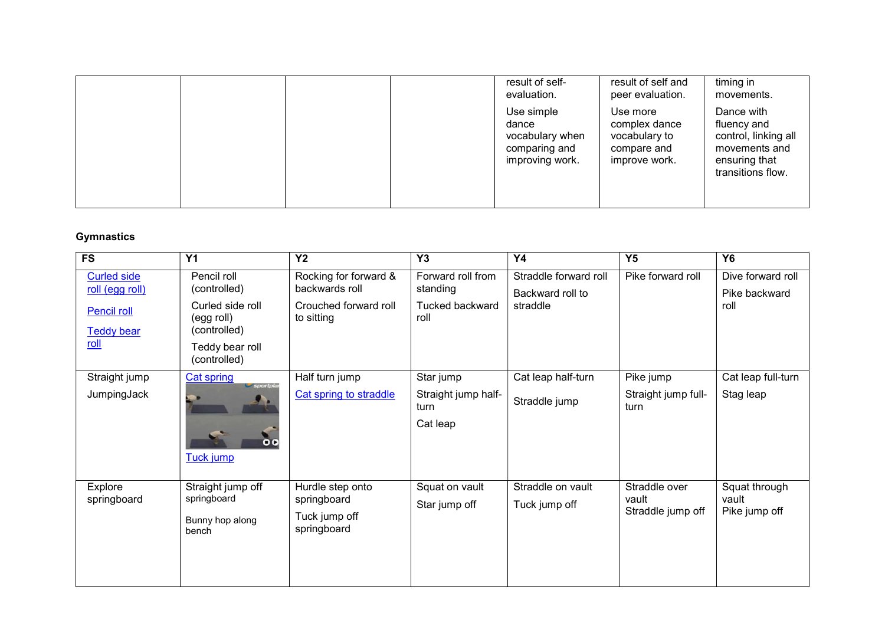|  | result of self-<br>evaluation.                                             | result of self and<br>peer evaluation.                                     | timing in<br>movements.                                                                                  |
|--|----------------------------------------------------------------------------|----------------------------------------------------------------------------|----------------------------------------------------------------------------------------------------------|
|  | Use simple<br>dance<br>vocabulary when<br>comparing and<br>improving work. | Use more<br>complex dance<br>vocabulary to<br>compare and<br>improve work. | Dance with<br>fluency and<br>control, linking all<br>movements and<br>ensuring that<br>transitions flow. |

#### **Gymnastics**

| FS                                                                                       | <b>Y1</b>                                                                                                        | Y <sub>2</sub>                                                                 | Y3                                                       | Y4                                                    | Y <sub>5</sub>                              | <b>Y6</b>                                  |
|------------------------------------------------------------------------------------------|------------------------------------------------------------------------------------------------------------------|--------------------------------------------------------------------------------|----------------------------------------------------------|-------------------------------------------------------|---------------------------------------------|--------------------------------------------|
| <b>Curled side</b><br>roll (egg roll)<br><b>Pencil roll</b><br><b>Teddy bear</b><br>roll | Pencil roll<br>(controlled)<br>Curled side roll<br>(egg roll)<br>(controlled)<br>Teddy bear roll<br>(controlled) | Rocking for forward &<br>backwards roll<br>Crouched forward roll<br>to sitting | Forward roll from<br>standing<br>Tucked backward<br>roll | Straddle forward roll<br>Backward roll to<br>straddle | Pike forward roll                           | Dive forward roll<br>Pike backward<br>roll |
| Straight jump                                                                            | <b>Cat spring</b><br>sportpla                                                                                    | Half turn jump                                                                 | Star jump                                                | Cat leap half-turn                                    | Pike jump                                   | Cat leap full-turn                         |
| JumpingJack                                                                              | $\bullet$<br><b>Tuck jump</b>                                                                                    | Cat spring to straddle                                                         | Straight jump half-<br>turn<br>Cat leap                  | Straddle jump                                         | Straight jump full-<br>turn                 | Stag leap                                  |
| Explore<br>springboard                                                                   | Straight jump off<br>springboard<br>Bunny hop along<br>bench                                                     | Hurdle step onto<br>springboard<br>Tuck jump off<br>springboard                | Squat on vault<br>Star jump off                          | Straddle on vault<br>Tuck jump off                    | Straddle over<br>vault<br>Straddle jump off | Squat through<br>vault<br>Pike jump off    |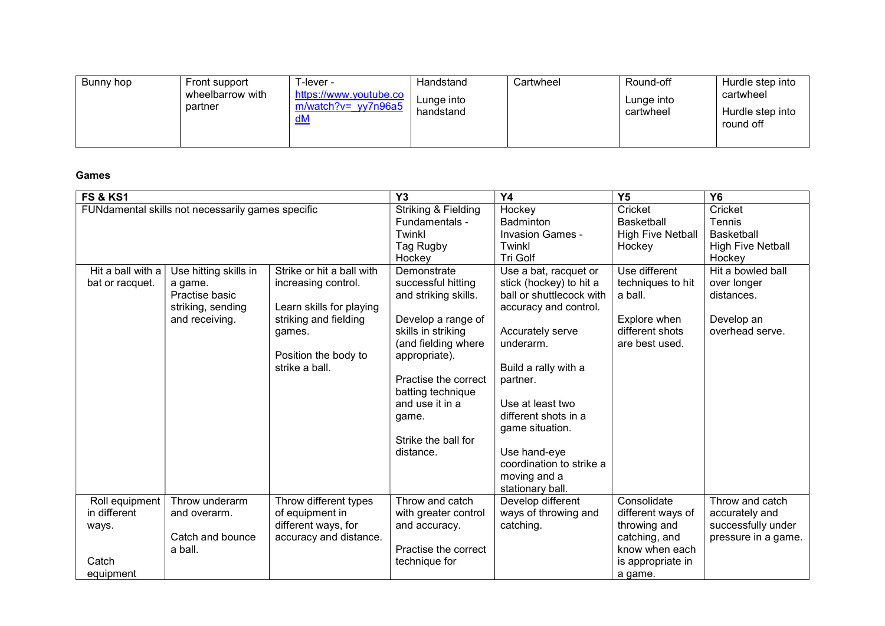| Bunny hop | Front support<br>wheelbarrow with<br>partner | -lever -<br>https://www.youtube.co<br>$m/watch?v=yy7n96a5$<br>dM | Handstand<br>Lunge into<br>handstand | Cartwheel | Round-off<br>Lunge into<br>cartwheel | Hurdle step into<br>cartwheel<br>Hurdle step into<br>round off |
|-----------|----------------------------------------------|------------------------------------------------------------------|--------------------------------------|-----------|--------------------------------------|----------------------------------------------------------------|
|-----------|----------------------------------------------|------------------------------------------------------------------|--------------------------------------|-----------|--------------------------------------|----------------------------------------------------------------|

Games

| <b>FS &amp; KS1</b>                                           |                                                                                           |                                                                                                                                                           | Y <sub>3</sub>                                                                                                                                                                                                                                             | Y <sub>4</sub>                                                                                                                                                                                                                                                                                                            | Y <sub>5</sub>                                                                                                      | <b>Y6</b>                                                                       |
|---------------------------------------------------------------|-------------------------------------------------------------------------------------------|-----------------------------------------------------------------------------------------------------------------------------------------------------------|------------------------------------------------------------------------------------------------------------------------------------------------------------------------------------------------------------------------------------------------------------|---------------------------------------------------------------------------------------------------------------------------------------------------------------------------------------------------------------------------------------------------------------------------------------------------------------------------|---------------------------------------------------------------------------------------------------------------------|---------------------------------------------------------------------------------|
| FUNdamental skills not necessarily games specific             |                                                                                           |                                                                                                                                                           | Striking & Fielding<br>Fundamentals -<br>Twinkl<br>Tag Rugby<br>Hockey                                                                                                                                                                                     | Hockey<br><b>Badminton</b><br><b>Invasion Games -</b><br>Twinkl<br>Tri Golf                                                                                                                                                                                                                                               | Cricket<br><b>Basketball</b><br><b>High Five Netball</b><br>Hockey                                                  | Cricket<br>Tennis<br><b>Basketball</b><br><b>High Five Netball</b><br>Hockey    |
| Hit a ball with a<br>bat or racquet.                          | Use hitting skills in<br>a game.<br>Practise basic<br>striking, sending<br>and receiving. | Strike or hit a ball with<br>increasing control.<br>Learn skills for playing<br>striking and fielding<br>games.<br>Position the body to<br>strike a ball. | Demonstrate<br>successful hitting<br>and striking skills.<br>Develop a range of<br>skills in striking<br>(and fielding where<br>appropriate).<br>Practise the correct<br>batting technique<br>and use it in a<br>game.<br>Strike the ball for<br>distance. | Use a bat, racquet or<br>stick (hockey) to hit a<br>ball or shuttlecock with<br>accuracy and control.<br>Accurately serve<br>underarm.<br>Build a rally with a<br>partner.<br>Use at least two<br>different shots in a<br>game situation.<br>Use hand-eye<br>coordination to strike a<br>moving and a<br>stationary ball. | Use different<br>techniques to hit<br>a ball.<br>Explore when<br>different shots<br>are best used.                  | Hit a bowled ball<br>over longer<br>distances.<br>Develop an<br>overhead serve. |
| Roll equipment<br>in different<br>ways.<br>Catch<br>equipment | Throw underarm<br>and overarm.<br>Catch and bounce<br>a ball.                             | Throw different types<br>of equipment in<br>different ways, for<br>accuracy and distance.                                                                 | Throw and catch<br>with greater control<br>and accuracy.<br>Practise the correct<br>technique for                                                                                                                                                          | Develop different<br>ways of throwing and<br>catching.                                                                                                                                                                                                                                                                    | Consolidate<br>different ways of<br>throwing and<br>catching, and<br>know when each<br>is appropriate in<br>a game. | Throw and catch<br>accurately and<br>successfully under<br>pressure in a game.  |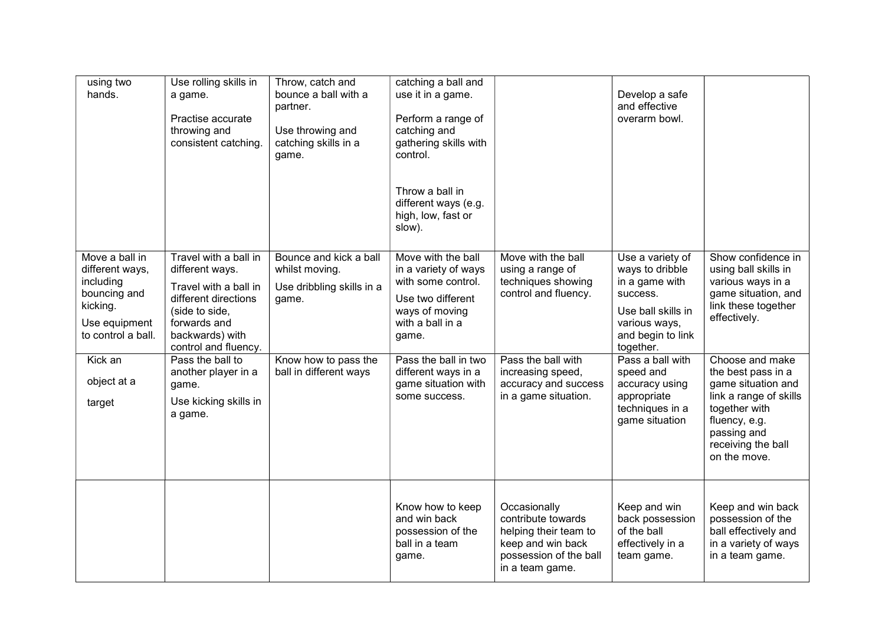| using two<br>hands.                                                                                                                         | Use rolling skills in<br>a game.<br>Practise accurate<br>throwing and<br>consistent catching.                                                                                                                              | Throw, catch and<br>bounce a ball with a<br>partner.<br>Use throwing and<br>catching skills in a<br>game.                        | catching a ball and<br>use it in a game.<br>Perform a range of<br>catching and<br>gathering skills with<br>control.<br>Throw a ball in<br>different ways (e.g.<br>high, low, fast or<br>slow).             |                                                                                                                                                         | Develop a safe<br>and effective<br>overarm bowl.                                                                                                                                              |                                                                                                                                                                                              |
|---------------------------------------------------------------------------------------------------------------------------------------------|----------------------------------------------------------------------------------------------------------------------------------------------------------------------------------------------------------------------------|----------------------------------------------------------------------------------------------------------------------------------|------------------------------------------------------------------------------------------------------------------------------------------------------------------------------------------------------------|---------------------------------------------------------------------------------------------------------------------------------------------------------|-----------------------------------------------------------------------------------------------------------------------------------------------------------------------------------------------|----------------------------------------------------------------------------------------------------------------------------------------------------------------------------------------------|
| Move a ball in<br>different ways,<br>including<br>bouncing and<br>kicking.<br>Use equipment<br>to control a ball.<br>Kick an<br>object at a | Travel with a ball in<br>different ways.<br>Travel with a ball in<br>different directions<br>(side to side,<br>forwards and<br>backwards) with<br>control and fluency.<br>Pass the ball to<br>another player in a<br>game. | Bounce and kick a ball<br>whilst moving.<br>Use dribbling skills in a<br>game.<br>Know how to pass the<br>ball in different ways | Move with the ball<br>in a variety of ways<br>with some control.<br>Use two different<br>ways of moving<br>with a ball in a<br>game.<br>Pass the ball in two<br>different ways in a<br>game situation with | Move with the ball<br>using a range of<br>techniques showing<br>control and fluency.<br>Pass the ball with<br>increasing speed,<br>accuracy and success | Use a variety of<br>ways to dribble<br>in a game with<br>success.<br>Use ball skills in<br>various ways,<br>and begin to link<br>together.<br>Pass a ball with<br>speed and<br>accuracy using | Show confidence in<br>using ball skills in<br>various ways in a<br>game situation, and<br>link these together<br>effectively.<br>Choose and make<br>the best pass in a<br>game situation and |
| target                                                                                                                                      | Use kicking skills in<br>a game.                                                                                                                                                                                           |                                                                                                                                  | some success.                                                                                                                                                                                              | in a game situation.                                                                                                                                    | appropriate<br>techniques in a<br>game situation                                                                                                                                              | link a range of skills<br>together with<br>fluency, e.g.<br>passing and<br>receiving the ball<br>on the move.                                                                                |
|                                                                                                                                             |                                                                                                                                                                                                                            |                                                                                                                                  | Know how to keep<br>and win back<br>possession of the<br>ball in a team<br>game.                                                                                                                           | Occasionally<br>contribute towards<br>helping their team to<br>keep and win back<br>possession of the ball<br>in a team game.                           | Keep and win<br>back possession<br>of the ball<br>effectively in a<br>team game.                                                                                                              | Keep and win back<br>possession of the<br>ball effectively and<br>in a variety of ways<br>in a team game.                                                                                    |